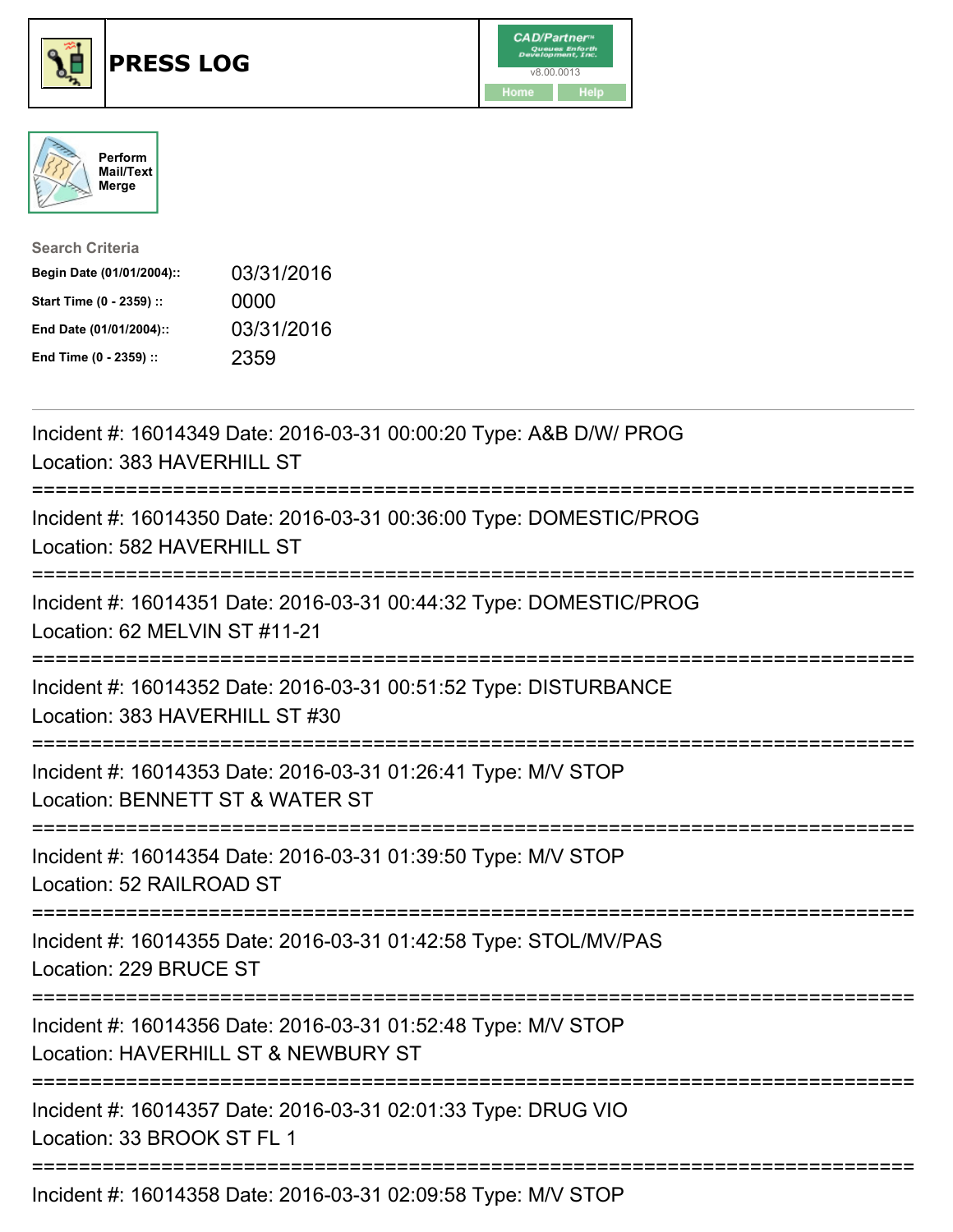





| <b>Search Criteria</b>    |            |
|---------------------------|------------|
| Begin Date (01/01/2004):: | 03/31/2016 |
| Start Time (0 - 2359) ::  | 0000       |
| End Date (01/01/2004)::   | 03/31/2016 |
| End Time (0 - 2359) ::    | 2359       |

| Incident #: 16014349 Date: 2016-03-31 00:00:20 Type: A&B D/W/ PROG<br>Location: 383 HAVERHILL ST                                                 |
|--------------------------------------------------------------------------------------------------------------------------------------------------|
| Incident #: 16014350 Date: 2016-03-31 00:36:00 Type: DOMESTIC/PROG<br>Location: 582 HAVERHILL ST                                                 |
| Incident #: 16014351 Date: 2016-03-31 00:44:32 Type: DOMESTIC/PROG<br>Location: 62 MELVIN ST #11-21                                              |
| Incident #: 16014352 Date: 2016-03-31 00:51:52 Type: DISTURBANCE<br>Location: 383 HAVERHILL ST #30                                               |
| Incident #: 16014353 Date: 2016-03-31 01:26:41 Type: M/V STOP<br>Location: BENNETT ST & WATER ST<br>:========================<br>--------------- |
| Incident #: 16014354 Date: 2016-03-31 01:39:50 Type: M/V STOP<br>Location: 52 RAILROAD ST                                                        |
| Incident #: 16014355 Date: 2016-03-31 01:42:58 Type: STOL/MV/PAS<br>Location: 229 BRUCE ST                                                       |
| Incident #: 16014356 Date: 2016-03-31 01:52:48 Type: M/V STOP<br>Location: HAVERHILL ST & NEWBURY ST                                             |
| Incident #: 16014357 Date: 2016-03-31 02:01:33 Type: DRUG VIO<br>Location: 33 BROOK ST FL 1                                                      |
| Incident #: 16014358 Date: 2016-03-31 02:09:58 Type: M/V STOP                                                                                    |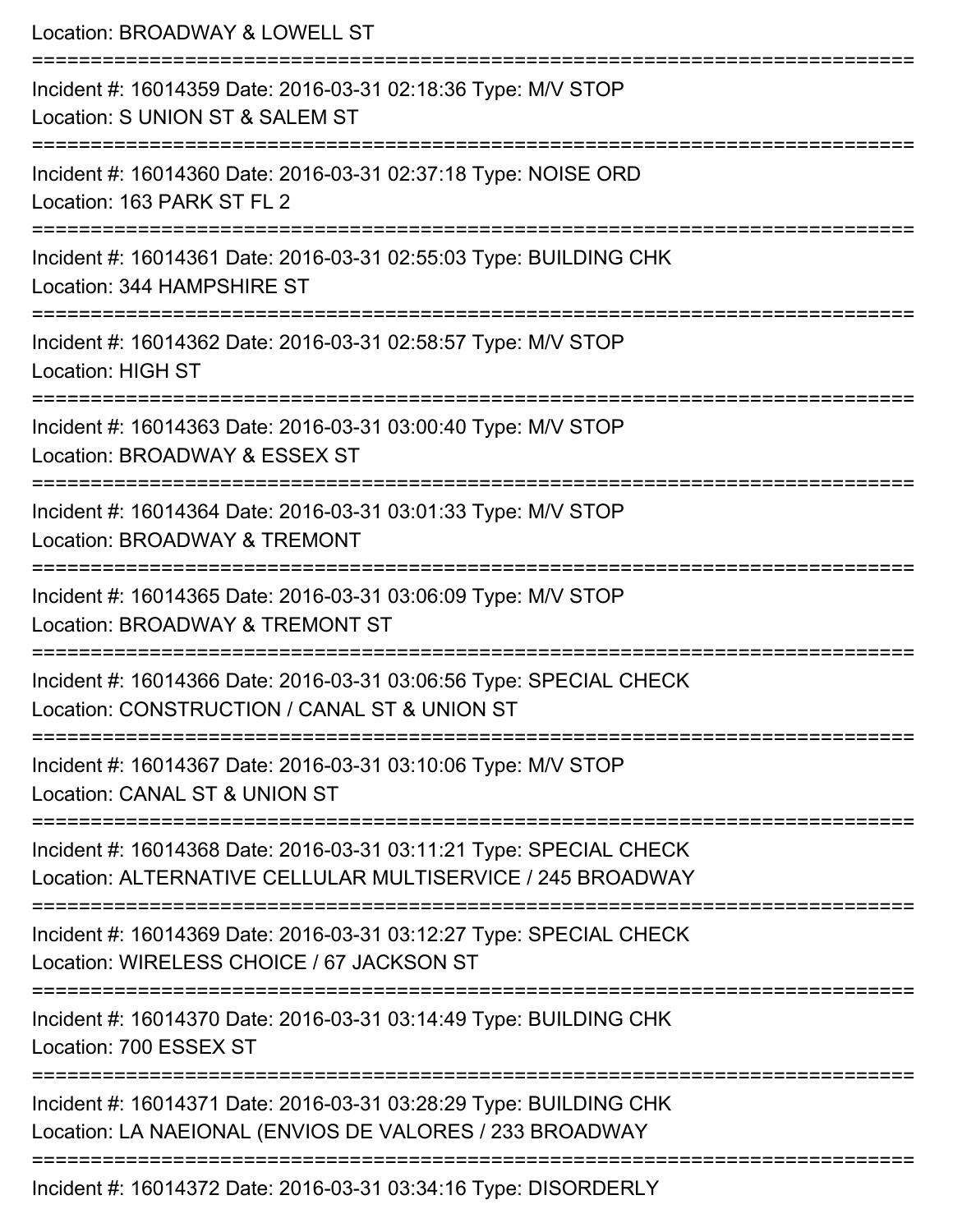| Location: BROADWAY & LOWELL ST                                                                                                      |
|-------------------------------------------------------------------------------------------------------------------------------------|
| Incident #: 16014359 Date: 2016-03-31 02:18:36 Type: M/V STOP<br>Location: S UNION ST & SALEM ST<br>=========================       |
| Incident #: 16014360 Date: 2016-03-31 02:37:18 Type: NOISE ORD<br>Location: 163 PARK ST FL 2                                        |
| Incident #: 16014361 Date: 2016-03-31 02:55:03 Type: BUILDING CHK<br>Location: 344 HAMPSHIRE ST<br>:=============================== |
| Incident #: 16014362 Date: 2016-03-31 02:58:57 Type: M/V STOP<br><b>Location: HIGH ST</b>                                           |
| Incident #: 16014363 Date: 2016-03-31 03:00:40 Type: M/V STOP<br>Location: BROADWAY & ESSEX ST<br>==========================        |
| Incident #: 16014364 Date: 2016-03-31 03:01:33 Type: M/V STOP<br>Location: BROADWAY & TREMONT                                       |
| Incident #: 16014365 Date: 2016-03-31 03:06:09 Type: M/V STOP<br>Location: BROADWAY & TREMONT ST                                    |
| Incident #: 16014366 Date: 2016-03-31 03:06:56 Type: SPECIAL CHECK<br>Location: CONSTRUCTION / CANAL ST & UNION ST                  |
| Incident #: 16014367 Date: 2016-03-31 03:10:06 Type: M/V STOP<br>Location: CANAL ST & UNION ST                                      |
| Incident #: 16014368 Date: 2016-03-31 03:11:21 Type: SPECIAL CHECK<br>Location: ALTERNATIVE CELLULAR MULTISERVICE / 245 BROADWAY    |
| Incident #: 16014369 Date: 2016-03-31 03:12:27 Type: SPECIAL CHECK<br>Location: WIRELESS CHOICE / 67 JACKSON ST                     |
| Incident #: 16014370 Date: 2016-03-31 03:14:49 Type: BUILDING CHK<br>Location: 700 ESSEX ST                                         |
| Incident #: 16014371 Date: 2016-03-31 03:28:29 Type: BUILDING CHK<br>Location: LA NAEIONAL (ENVIOS DE VALORES / 233 BROADWAY        |
| Incident #: 16014372 Date: 2016-03-31 03:34:16 Type: DISORDERLY                                                                     |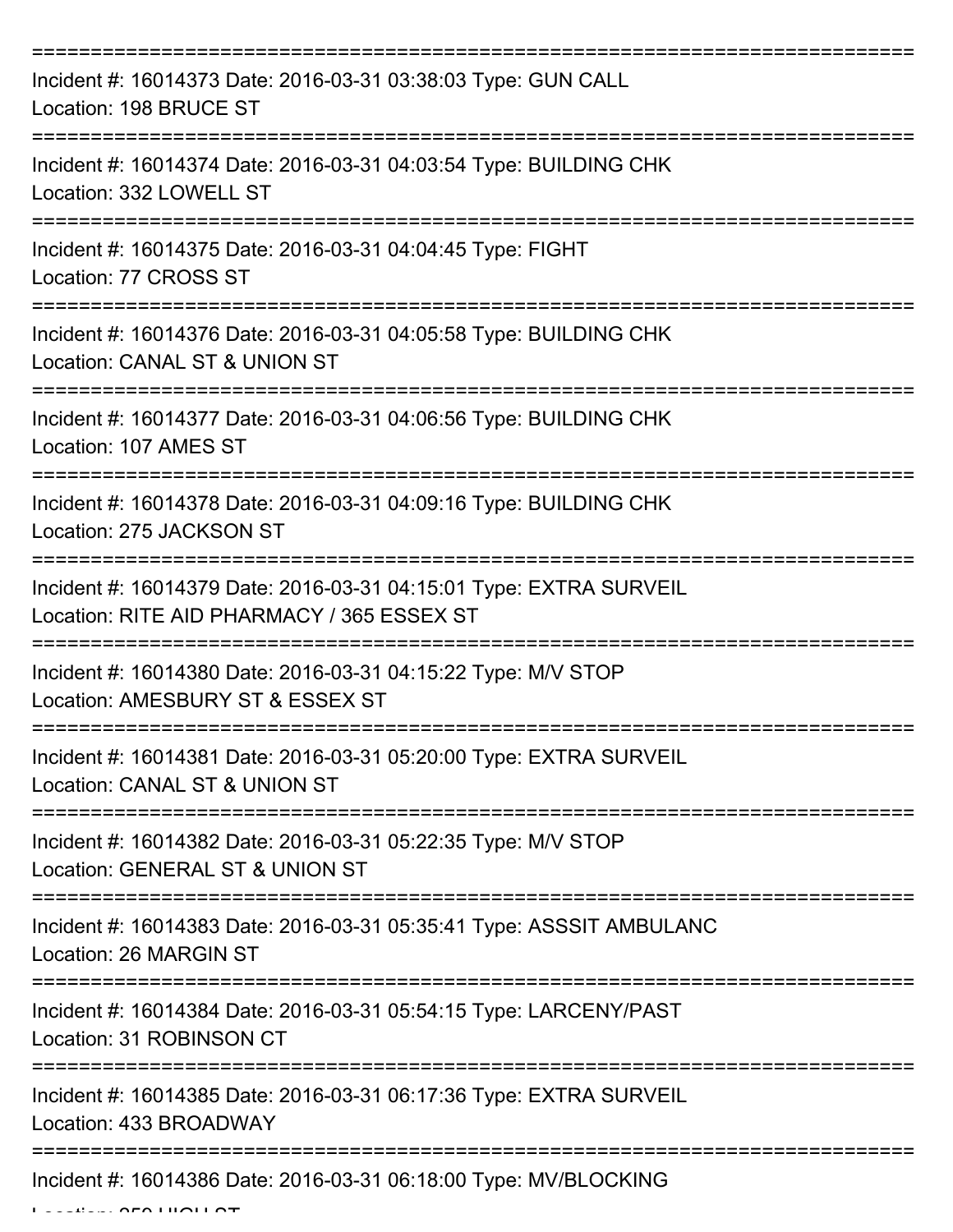| Incident #: 16014373 Date: 2016-03-31 03:38:03 Type: GUN CALL<br>Location: 198 BRUCE ST                                                  |
|------------------------------------------------------------------------------------------------------------------------------------------|
| Incident #: 16014374 Date: 2016-03-31 04:03:54 Type: BUILDING CHK<br>Location: 332 LOWELL ST                                             |
| Incident #: 16014375 Date: 2016-03-31 04:04:45 Type: FIGHT<br>Location: 77 CROSS ST<br>:===============================                  |
| Incident #: 16014376 Date: 2016-03-31 04:05:58 Type: BUILDING CHK<br>Location: CANAL ST & UNION ST                                       |
| Incident #: 16014377 Date: 2016-03-31 04:06:56 Type: BUILDING CHK<br>Location: 107 AMES ST                                               |
| =================<br>Incident #: 16014378 Date: 2016-03-31 04:09:16 Type: BUILDING CHK<br>Location: 275 JACKSON ST<br>__________________ |
| Incident #: 16014379 Date: 2016-03-31 04:15:01 Type: EXTRA SURVEIL<br>Location: RITE AID PHARMACY / 365 ESSEX ST                         |
| Incident #: 16014380 Date: 2016-03-31 04:15:22 Type: M/V STOP<br>Location: AMESBURY ST & ESSEX ST                                        |
| Incident #: 16014381 Date: 2016-03-31 05:20:00 Type: EXTRA SURVEIL<br>Location: CANAL ST & UNION ST                                      |
| Incident #: 16014382 Date: 2016-03-31 05:22:35 Type: M/V STOP<br>Location: GENERAL ST & UNION ST                                         |
| Incident #: 16014383 Date: 2016-03-31 05:35:41 Type: ASSSIT AMBULANC<br>Location: 26 MARGIN ST                                           |
| Incident #: 16014384 Date: 2016-03-31 05:54:15 Type: LARCENY/PAST<br>Location: 31 ROBINSON CT                                            |
| Incident #: 16014385 Date: 2016-03-31 06:17:36 Type: EXTRA SURVEIL<br>Location: 433 BROADWAY                                             |
| Incident #: 16014386 Date: 2016-03-31 06:18:00 Type: MV/BLOCKING                                                                         |

 $L = L$  $L = L$   $\alpha$   $\alpha$  High  $\alpha$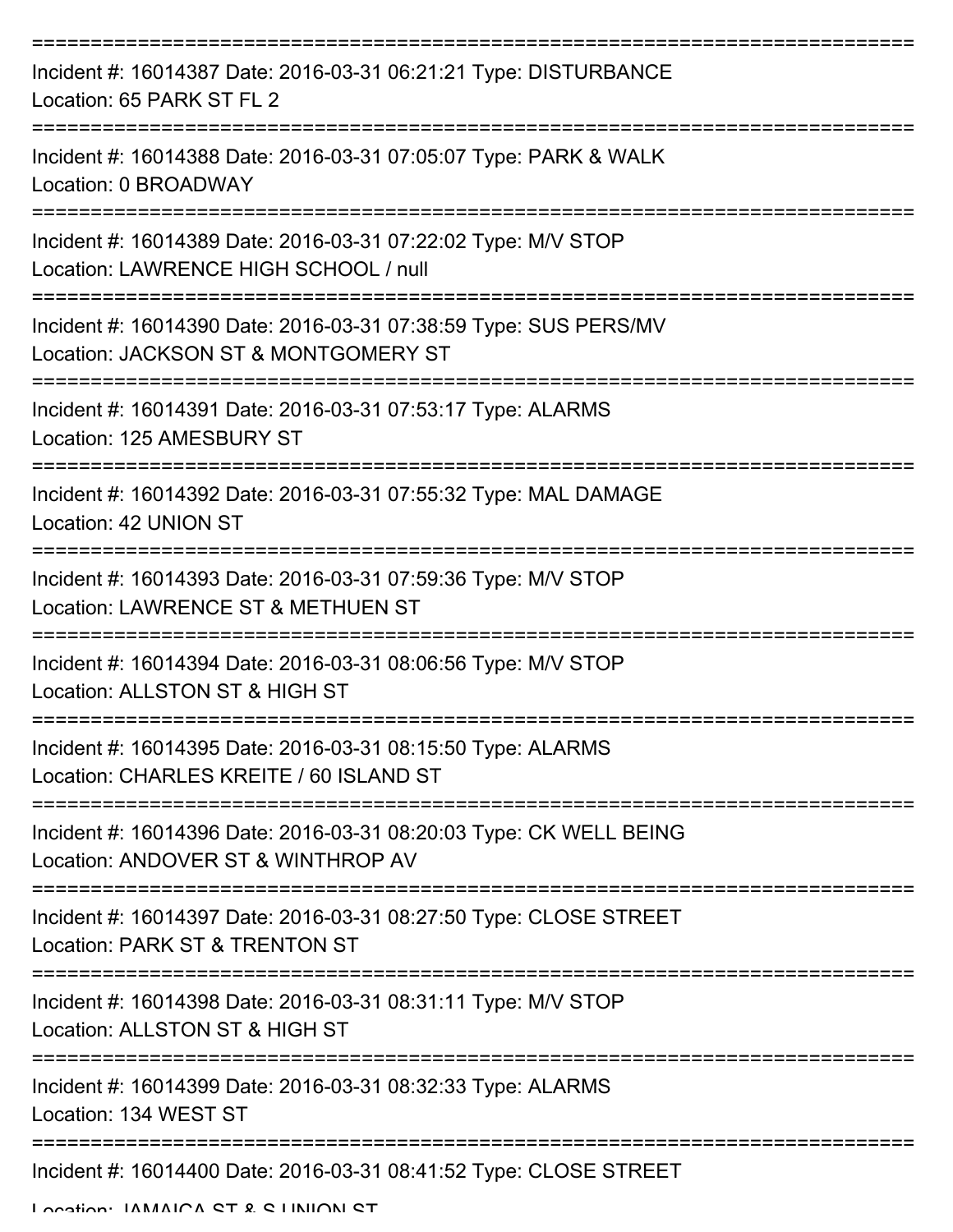| Incident #: 16014387 Date: 2016-03-31 06:21:21 Type: DISTURBANCE<br>Location: 65 PARK ST FL 2            |
|----------------------------------------------------------------------------------------------------------|
| Incident #: 16014388 Date: 2016-03-31 07:05:07 Type: PARK & WALK<br>Location: 0 BROADWAY                 |
| Incident #: 16014389 Date: 2016-03-31 07:22:02 Type: M/V STOP<br>Location: LAWRENCE HIGH SCHOOL / null   |
| Incident #: 16014390 Date: 2016-03-31 07:38:59 Type: SUS PERS/MV<br>Location: JACKSON ST & MONTGOMERY ST |
| Incident #: 16014391 Date: 2016-03-31 07:53:17 Type: ALARMS<br>Location: 125 AMESBURY ST                 |
| Incident #: 16014392 Date: 2016-03-31 07:55:32 Type: MAL DAMAGE<br>Location: 42 UNION ST                 |
| Incident #: 16014393 Date: 2016-03-31 07:59:36 Type: M/V STOP<br>Location: LAWRENCE ST & METHUEN ST      |
| Incident #: 16014394 Date: 2016-03-31 08:06:56 Type: M/V STOP<br>Location: ALLSTON ST & HIGH ST          |
| Incident #: 16014395 Date: 2016-03-31 08:15:50 Type: ALARMS<br>Location: CHARLES KREITE / 60 ISLAND ST   |
| Incident #: 16014396 Date: 2016-03-31 08:20:03 Type: CK WELL BEING<br>Location: ANDOVER ST & WINTHROP AV |
| Incident #: 16014397 Date: 2016-03-31 08:27:50 Type: CLOSE STREET<br>Location: PARK ST & TRENTON ST      |
| Incident #: 16014398 Date: 2016-03-31 08:31:11 Type: M/V STOP<br>Location: ALLSTON ST & HIGH ST          |
| Incident #: 16014399 Date: 2016-03-31 08:32:33 Type: ALARMS<br>Location: 134 WEST ST                     |
| Incident #: 16014400 Date: 2016-03-31 08:41:52 Type: CLOSE STREET                                        |

Location: IAMAICA CT & C LINIION CT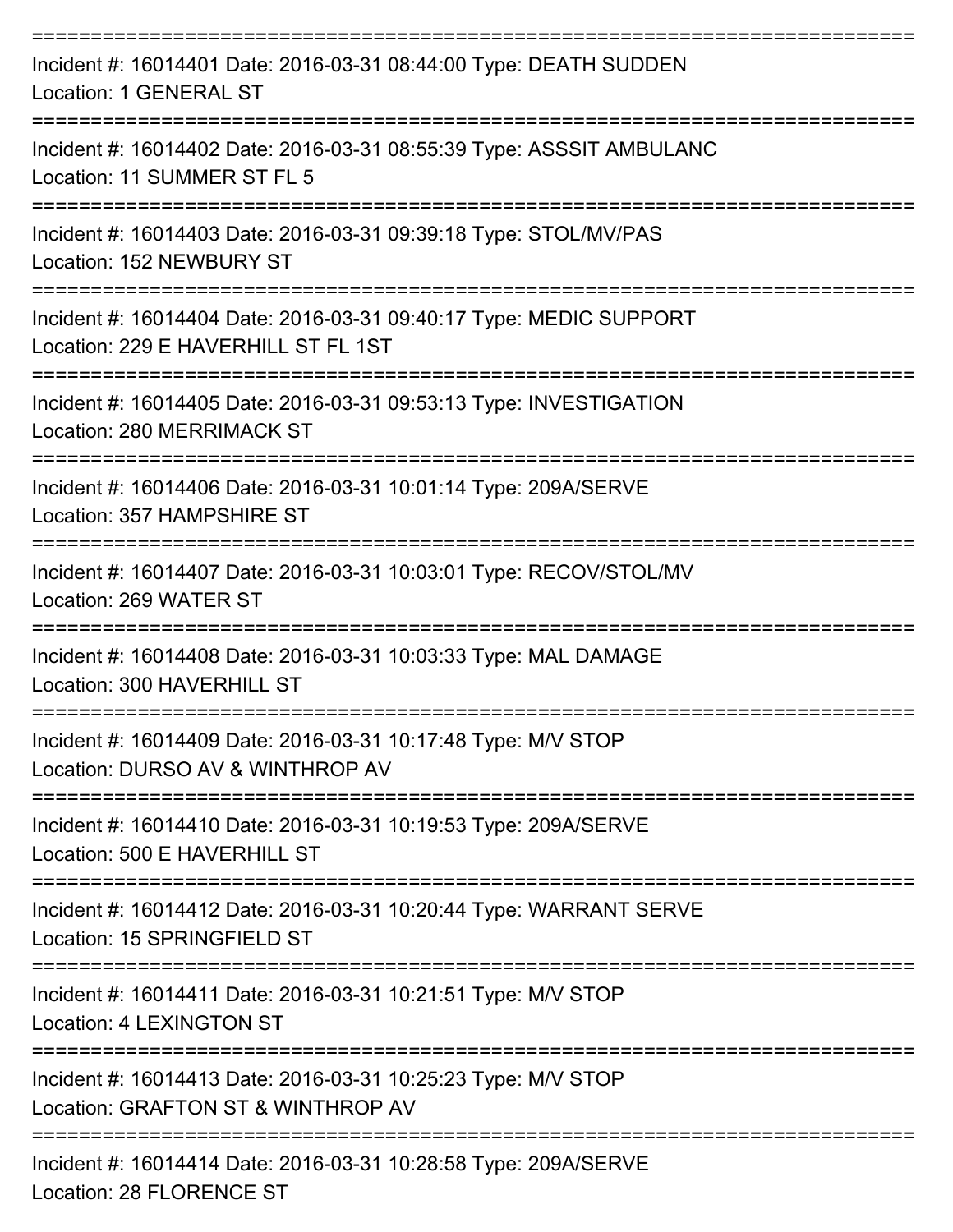| Incident #: 16014401 Date: 2016-03-31 08:44:00 Type: DEATH SUDDEN<br>Location: 1 GENERAL ST               |
|-----------------------------------------------------------------------------------------------------------|
| Incident #: 16014402 Date: 2016-03-31 08:55:39 Type: ASSSIT AMBULANC<br>Location: 11 SUMMER ST FL 5       |
| Incident #: 16014403 Date: 2016-03-31 09:39:18 Type: STOL/MV/PAS<br>Location: 152 NEWBURY ST              |
| Incident #: 16014404 Date: 2016-03-31 09:40:17 Type: MEDIC SUPPORT<br>Location: 229 E HAVERHILL ST FL 1ST |
| Incident #: 16014405 Date: 2016-03-31 09:53:13 Type: INVESTIGATION<br>Location: 280 MERRIMACK ST          |
| Incident #: 16014406 Date: 2016-03-31 10:01:14 Type: 209A/SERVE<br>Location: 357 HAMPSHIRE ST             |
| Incident #: 16014407 Date: 2016-03-31 10:03:01 Type: RECOV/STOL/MV<br>Location: 269 WATER ST              |
| Incident #: 16014408 Date: 2016-03-31 10:03:33 Type: MAL DAMAGE<br>Location: 300 HAVERHILL ST             |
| Incident #: 16014409 Date: 2016-03-31 10:17:48 Type: M/V STOP<br>Location: DURSO AV & WINTHROP AV         |
| Incident #: 16014410 Date: 2016-03-31 10:19:53 Type: 209A/SERVE<br>Location: 500 E HAVERHILL ST           |
| Incident #: 16014412 Date: 2016-03-31 10:20:44 Type: WARRANT SERVE<br>Location: 15 SPRINGFIELD ST         |
| Incident #: 16014411 Date: 2016-03-31 10:21:51 Type: M/V STOP<br><b>Location: 4 LEXINGTON ST</b>          |
| Incident #: 16014413 Date: 2016-03-31 10:25:23 Type: M/V STOP<br>Location: GRAFTON ST & WINTHROP AV       |
| Incident #: 16014414 Date: 2016-03-31 10:28:58 Type: 209A/SERVE                                           |

Location: 28 FLORENCE ST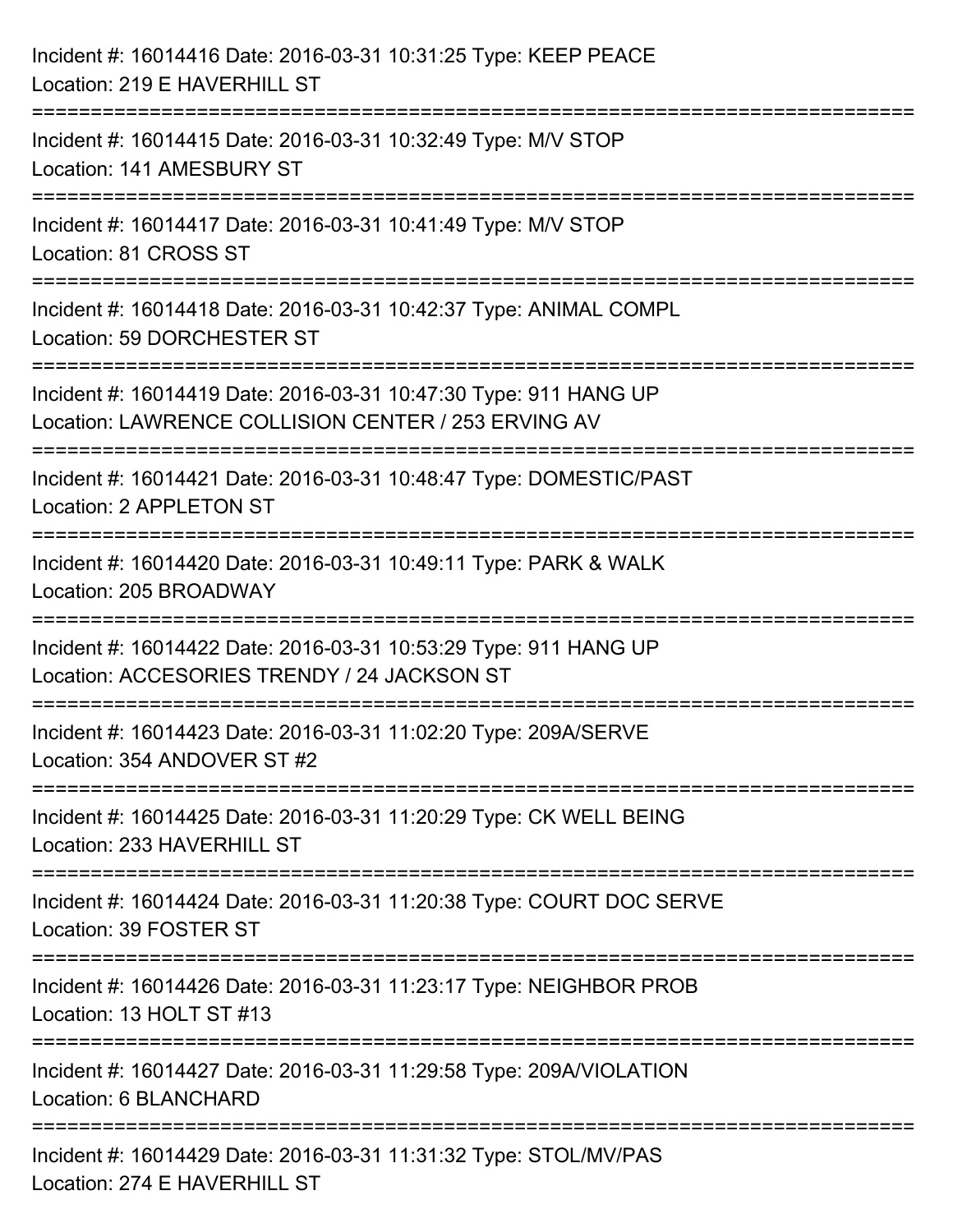| Incident #: 16014416 Date: 2016-03-31 10:31:25 Type: KEEP PEACE<br>Location: 219 E HAVERHILL ST                         |
|-------------------------------------------------------------------------------------------------------------------------|
| Incident #: 16014415 Date: 2016-03-31 10:32:49 Type: M/V STOP<br>Location: 141 AMESBURY ST                              |
| Incident #: 16014417 Date: 2016-03-31 10:41:49 Type: M/V STOP<br>Location: 81 CROSS ST                                  |
| Incident #: 16014418 Date: 2016-03-31 10:42:37 Type: ANIMAL COMPL<br>Location: 59 DORCHESTER ST                         |
| Incident #: 16014419 Date: 2016-03-31 10:47:30 Type: 911 HANG UP<br>Location: LAWRENCE COLLISION CENTER / 253 ERVING AV |
| Incident #: 16014421 Date: 2016-03-31 10:48:47 Type: DOMESTIC/PAST<br>Location: 2 APPLETON ST                           |
| Incident #: 16014420 Date: 2016-03-31 10:49:11 Type: PARK & WALK<br>Location: 205 BROADWAY                              |
| Incident #: 16014422 Date: 2016-03-31 10:53:29 Type: 911 HANG UP<br>Location: ACCESORIES TRENDY / 24 JACKSON ST         |
| Incident #: 16014423 Date: 2016-03-31 11:02:20 Type: 209A/SERVE<br>Location: 354 ANDOVER ST #2                          |
| Incident #: 16014425 Date: 2016-03-31 11:20:29 Type: CK WELL BEING<br>Location: 233 HAVERHILL ST                        |
| Incident #: 16014424 Date: 2016-03-31 11:20:38 Type: COURT DOC SERVE<br>Location: 39 FOSTER ST                          |
| Incident #: 16014426 Date: 2016-03-31 11:23:17 Type: NEIGHBOR PROB<br>Location: 13 HOLT ST #13                          |
| Incident #: 16014427 Date: 2016-03-31 11:29:58 Type: 209A/VIOLATION<br>Location: 6 BLANCHARD                            |
| Incident #: 16014429 Date: 2016-03-31 11:31:32 Type: STOL/MV/PAS<br>Location: 274 E HAVERHILL ST                        |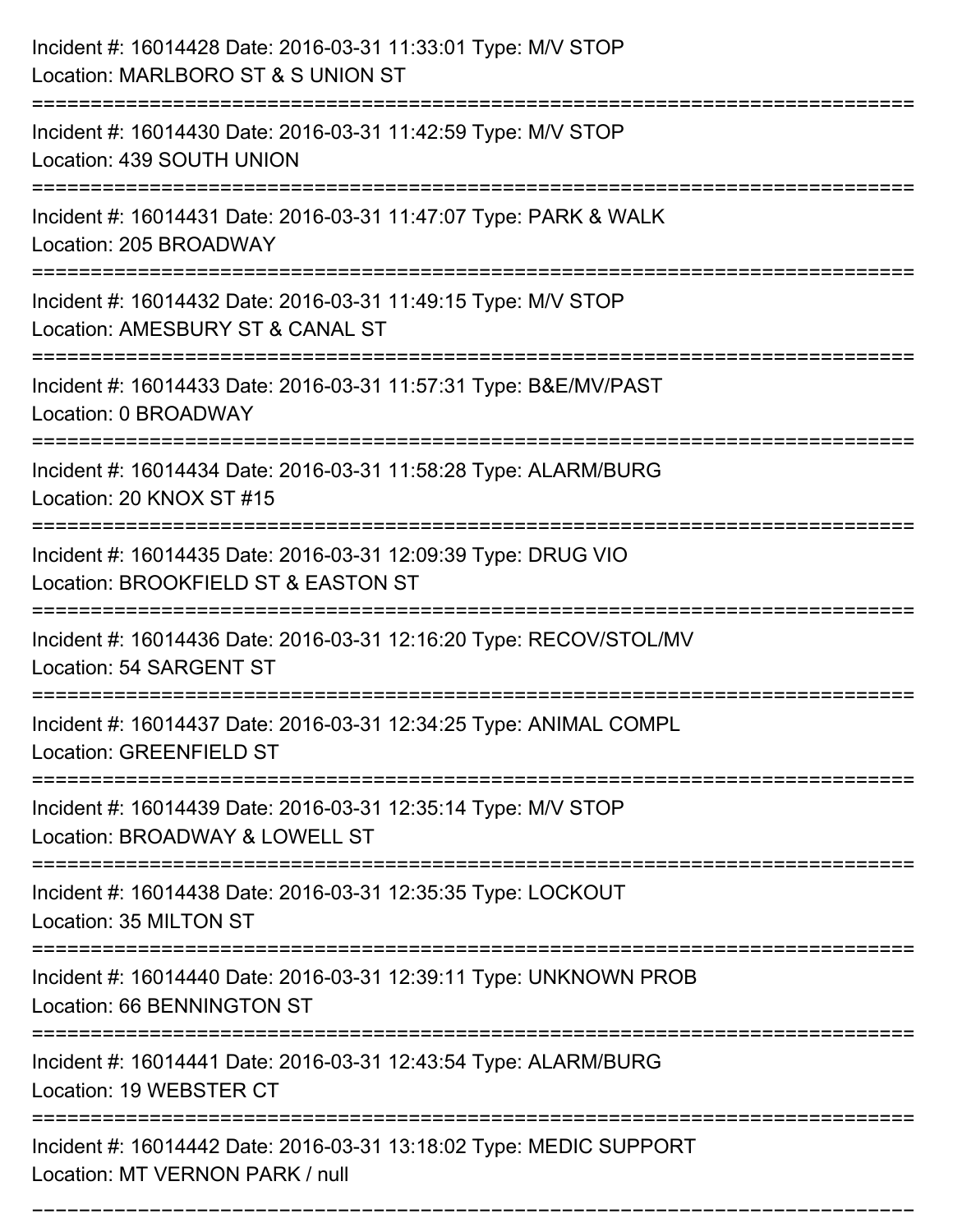| Incident #: 16014428 Date: 2016-03-31 11:33:01 Type: M/V STOP<br>Location: MARLBORO ST & S UNION ST                                  |
|--------------------------------------------------------------------------------------------------------------------------------------|
| Incident #: 16014430 Date: 2016-03-31 11:42:59 Type: M/V STOP<br>Location: 439 SOUTH UNION                                           |
| Incident #: 16014431 Date: 2016-03-31 11:47:07 Type: PARK & WALK<br>Location: 205 BROADWAY                                           |
| Incident #: 16014432 Date: 2016-03-31 11:49:15 Type: M/V STOP<br>Location: AMESBURY ST & CANAL ST                                    |
| Incident #: 16014433 Date: 2016-03-31 11:57:31 Type: B&E/MV/PAST<br>Location: 0 BROADWAY                                             |
| Incident #: 16014434 Date: 2016-03-31 11:58:28 Type: ALARM/BURG<br>Location: 20 KNOX ST #15                                          |
| Incident #: 16014435 Date: 2016-03-31 12:09:39 Type: DRUG VIO<br>Location: BROOKFIELD ST & EASTON ST                                 |
| Incident #: 16014436 Date: 2016-03-31 12:16:20 Type: RECOV/STOL/MV<br>Location: 54 SARGENT ST                                        |
| Incident #: 16014437 Date: 2016-03-31 12:34:25 Type: ANIMAL COMPL<br><b>Location: GREENFIELD ST</b>                                  |
| Incident #: 16014439 Date: 2016-03-31 12:35:14 Type: M/V STOP<br>Location: BROADWAY & LOWELL ST                                      |
| Incident #: 16014438 Date: 2016-03-31 12:35:35 Type: LOCKOUT<br>Location: 35 MILTON ST                                               |
| Incident #: 16014440 Date: 2016-03-31 12:39:11 Type: UNKNOWN PROB<br>Location: 66 BENNINGTON ST<br>--------------------------------- |
| Incident #: 16014441 Date: 2016-03-31 12:43:54 Type: ALARM/BURG<br>Location: 19 WEBSTER CT                                           |
| Incident #: 16014442 Date: 2016-03-31 13:18:02 Type: MEDIC SUPPORT<br>Location: MT VERNON PARK / null                                |

===========================================================================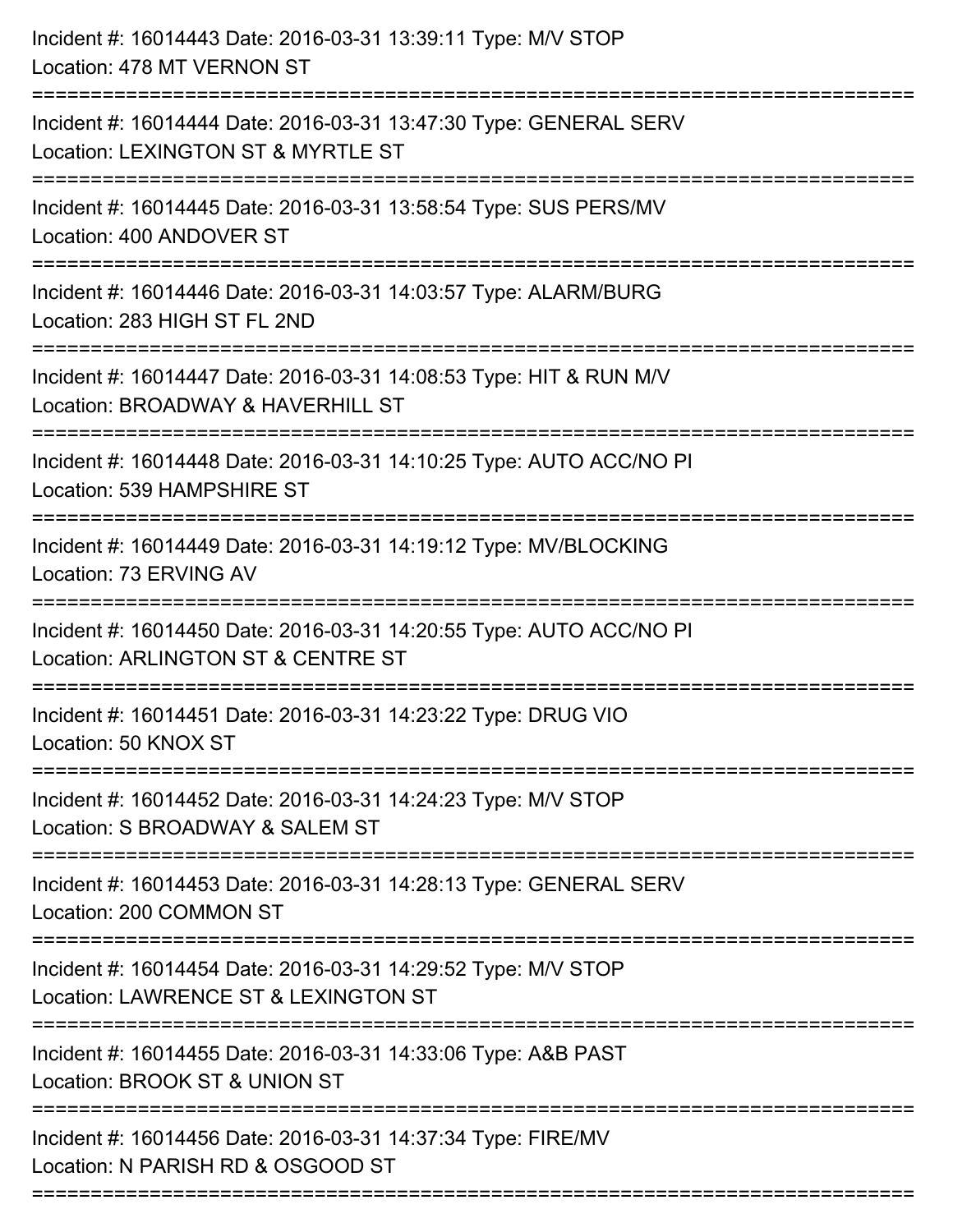| Incident #: 16014443 Date: 2016-03-31 13:39:11 Type: M/V STOP<br>Location: 478 MT VERNON ST                                       |
|-----------------------------------------------------------------------------------------------------------------------------------|
| Incident #: 16014444 Date: 2016-03-31 13:47:30 Type: GENERAL SERV<br>Location: LEXINGTON ST & MYRTLE ST                           |
| Incident #: 16014445 Date: 2016-03-31 13:58:54 Type: SUS PERS/MV<br>Location: 400 ANDOVER ST<br>:===============================  |
| Incident #: 16014446 Date: 2016-03-31 14:03:57 Type: ALARM/BURG<br>Location: 283 HIGH ST FL 2ND                                   |
| Incident #: 16014447 Date: 2016-03-31 14:08:53 Type: HIT & RUN M/V<br>Location: BROADWAY & HAVERHILL ST<br>====================== |
| Incident #: 16014448 Date: 2016-03-31 14:10:25 Type: AUTO ACC/NO PI<br>Location: 539 HAMPSHIRE ST                                 |
| Incident #: 16014449 Date: 2016-03-31 14:19:12 Type: MV/BLOCKING<br>Location: 73 ERVING AV<br>==============================      |
| Incident #: 16014450 Date: 2016-03-31 14:20:55 Type: AUTO ACC/NO PI<br>Location: ARLINGTON ST & CENTRE ST                         |
| Incident #: 16014451 Date: 2016-03-31 14:23:22 Type: DRUG VIO<br>Location: 50 KNOX ST<br>------------------                       |
| Incident #: 16014452 Date: 2016-03-31 14:24:23 Type: M/V STOP<br>Location: S BROADWAY & SALEM ST                                  |
| Incident #: 16014453 Date: 2016-03-31 14:28:13 Type: GENERAL SERV<br>Location: 200 COMMON ST                                      |
| Incident #: 16014454 Date: 2016-03-31 14:29:52 Type: M/V STOP<br>Location: LAWRENCE ST & LEXINGTON ST                             |
| Incident #: 16014455 Date: 2016-03-31 14:33:06 Type: A&B PAST<br>Location: BROOK ST & UNION ST                                    |
| Incident #: 16014456 Date: 2016-03-31 14:37:34 Type: FIRE/MV<br>Location: N PARISH RD & OSGOOD ST                                 |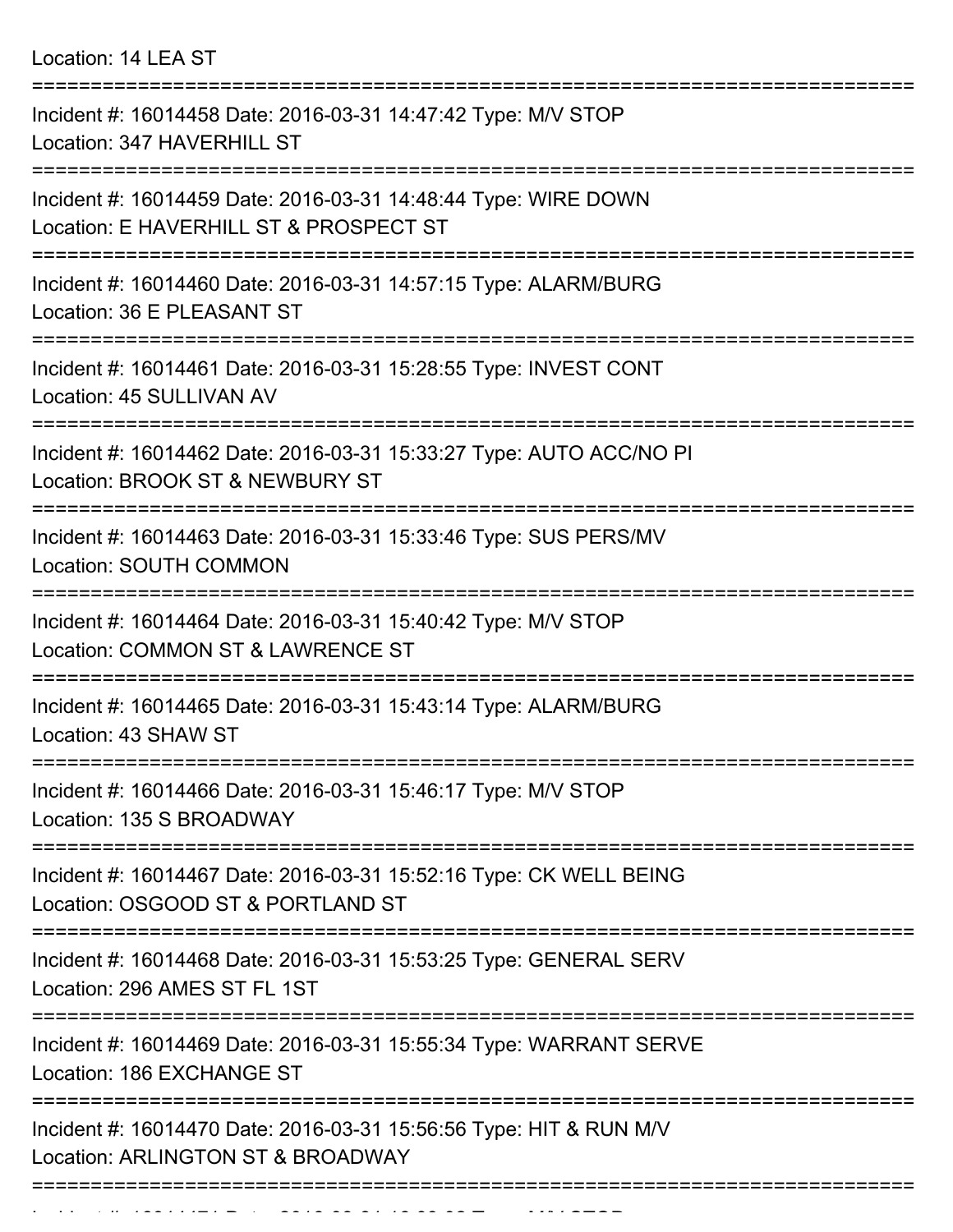Location: 14 LEA ST

| Incident #: 16014458 Date: 2016-03-31 14:47:42 Type: M/V STOP<br>Location: 347 HAVERHILL ST              |
|----------------------------------------------------------------------------------------------------------|
| Incident #: 16014459 Date: 2016-03-31 14:48:44 Type: WIRE DOWN<br>Location: E HAVERHILL ST & PROSPECT ST |
| Incident #: 16014460 Date: 2016-03-31 14:57:15 Type: ALARM/BURG<br>Location: 36 E PLEASANT ST            |
| Incident #: 16014461 Date: 2016-03-31 15:28:55 Type: INVEST CONT<br>Location: 45 SULLIVAN AV             |
| Incident #: 16014462 Date: 2016-03-31 15:33:27 Type: AUTO ACC/NO PI<br>Location: BROOK ST & NEWBURY ST   |
| Incident #: 16014463 Date: 2016-03-31 15:33:46 Type: SUS PERS/MV<br><b>Location: SOUTH COMMON</b>        |
| Incident #: 16014464 Date: 2016-03-31 15:40:42 Type: M/V STOP<br>Location: COMMON ST & LAWRENCE ST       |
| Incident #: 16014465 Date: 2016-03-31 15:43:14 Type: ALARM/BURG<br>Location: 43 SHAW ST                  |
| Incident #: 16014466 Date: 2016-03-31 15:46:17 Type: M/V STOP<br>Location: 135 S BROADWAY                |
| Incident #: 16014467 Date: 2016-03-31 15:52:16 Type: CK WELL BEING<br>Location: OSGOOD ST & PORTLAND ST  |
| Incident #: 16014468 Date: 2016-03-31 15:53:25 Type: GENERAL SERV<br>Location: 296 AMES ST FL 1ST        |
| Incident #: 16014469 Date: 2016-03-31 15:55:34 Type: WARRANT SERVE<br>Location: 186 EXCHANGE ST          |
| Incident #: 16014470 Date: 2016-03-31 15:56:56 Type: HIT & RUN M/V<br>Location: ARLINGTON ST & BROADWAY  |
|                                                                                                          |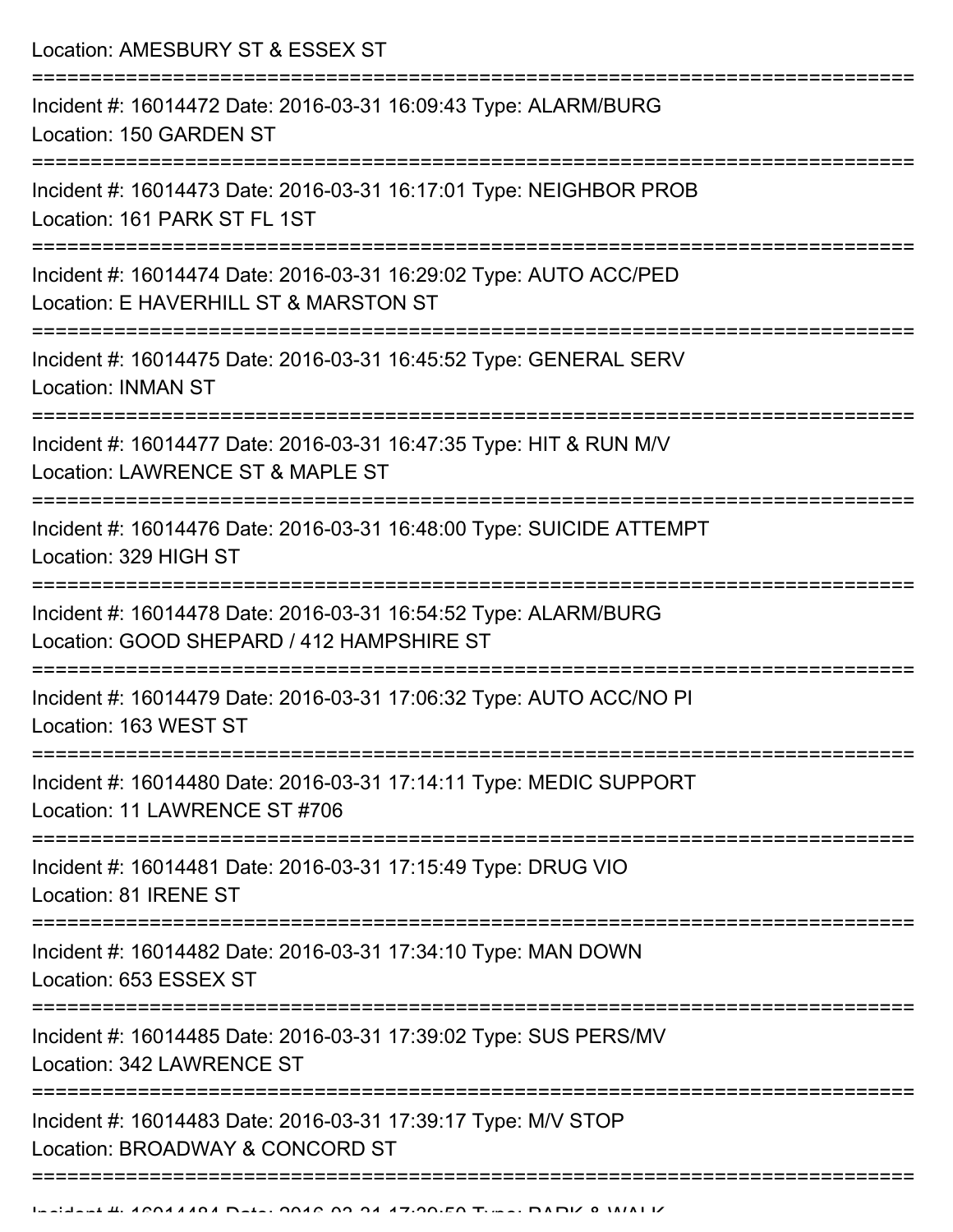Location: AMESBURY ST & ESSEX ST =========================================================================== Incident #: 16014472 Date: 2016-03-31 16:09:43 Type: ALARM/BURG Location: 150 GARDEN ST =========================================================================== Incident #: 16014473 Date: 2016-03-31 16:17:01 Type: NEIGHBOR PROB Location: 161 PARK ST FL 1ST =========================================================================== Incident #: 16014474 Date: 2016-03-31 16:29:02 Type: AUTO ACC/PED Location: E HAVERHILL ST & MARSTON ST =========================================================================== Incident #: 16014475 Date: 2016-03-31 16:45:52 Type: GENERAL SERV Location: INMAN ST =========================================================================== Incident #: 16014477 Date: 2016-03-31 16:47:35 Type: HIT & RUN M/V Location: LAWRENCE ST & MAPLE ST =========================================================================== Incident #: 16014476 Date: 2016-03-31 16:48:00 Type: SUICIDE ATTEMPT Location: 329 HIGH ST =========================================================================== Incident #: 16014478 Date: 2016-03-31 16:54:52 Type: ALARM/BURG Location: GOOD SHEPARD / 412 HAMPSHIRE ST =========================================================================== Incident #: 16014479 Date: 2016-03-31 17:06:32 Type: AUTO ACC/NO PI Location: 163 WEST ST =========================================================================== Incident #: 16014480 Date: 2016-03-31 17:14:11 Type: MEDIC SUPPORT Location: 11 LAWRENCE ST #706 =========================================================================== Incident #: 16014481 Date: 2016-03-31 17:15:49 Type: DRUG VIO Location: 81 IRENE ST =========================================================================== Incident #: 16014482 Date: 2016-03-31 17:34:10 Type: MAN DOWN Location: 653 ESSEX ST =========================================================================== Incident #: 16014485 Date: 2016-03-31 17:39:02 Type: SUS PERS/MV Location: 342 LAWRENCE ST =========================================================================== Incident #: 16014483 Date: 2016-03-31 17:39:17 Type: M/V STOP Location: BROADWAY & CONCORD ST =============================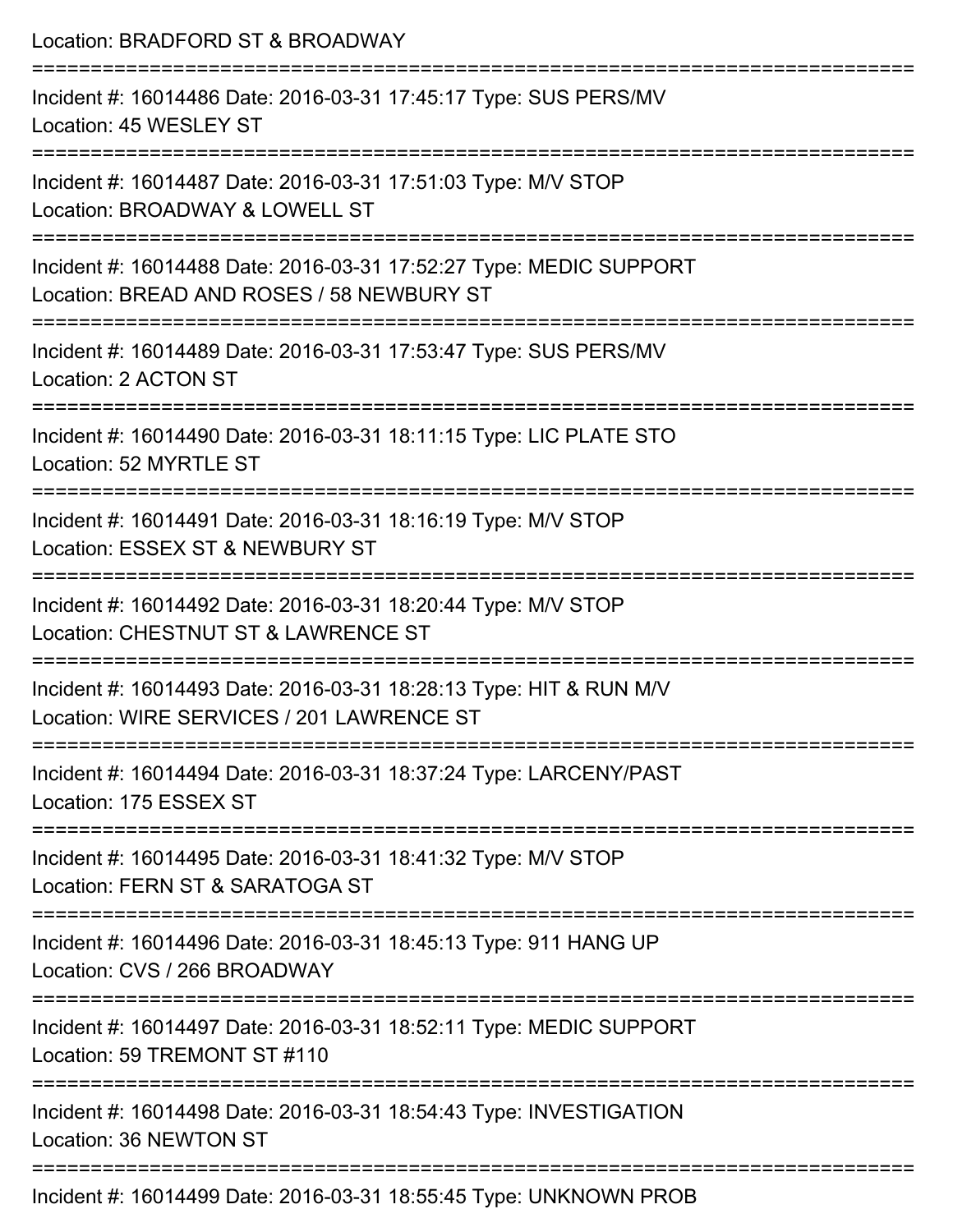| Location: BRADFORD ST & BROADWAY                                                                                               |
|--------------------------------------------------------------------------------------------------------------------------------|
| Incident #: 16014486 Date: 2016-03-31 17:45:17 Type: SUS PERS/MV<br>Location: 45 WESLEY ST                                     |
| Incident #: 16014487 Date: 2016-03-31 17:51:03 Type: M/V STOP<br>Location: BROADWAY & LOWELL ST                                |
| Incident #: 16014488 Date: 2016-03-31 17:52:27 Type: MEDIC SUPPORT<br>Location: BREAD AND ROSES / 58 NEWBURY ST                |
| :=================================<br>Incident #: 16014489 Date: 2016-03-31 17:53:47 Type: SUS PERS/MV<br>Location: 2 ACTON ST |
| Incident #: 16014490 Date: 2016-03-31 18:11:15 Type: LIC PLATE STO<br>Location: 52 MYRTLE ST                                   |
| Incident #: 16014491 Date: 2016-03-31 18:16:19 Type: M/V STOP<br>Location: ESSEX ST & NEWBURY ST                               |
| Incident #: 16014492 Date: 2016-03-31 18:20:44 Type: M/V STOP<br>Location: CHESTNUT ST & LAWRENCE ST                           |
| Incident #: 16014493 Date: 2016-03-31 18:28:13 Type: HIT & RUN M/V<br>Location: WIRE SERVICES / 201 LAWRENCE ST                |
| Incident #: 16014494 Date: 2016-03-31 18:37:24 Type: LARCENY/PAST<br>Location: 175 ESSEX ST                                    |
| -----------------------<br>Incident #: 16014495 Date: 2016-03-31 18:41:32 Type: M/V STOP<br>Location: FERN ST & SARATOGA ST    |
| Incident #: 16014496 Date: 2016-03-31 18:45:13 Type: 911 HANG UP<br>Location: CVS / 266 BROADWAY                               |
| Incident #: 16014497 Date: 2016-03-31 18:52:11 Type: MEDIC SUPPORT<br>Location: 59 TREMONT ST #110                             |
| Incident #: 16014498 Date: 2016-03-31 18:54:43 Type: INVESTIGATION<br>Location: 36 NEWTON ST                                   |
| Incident #: 16014499 Date: 2016-03-31 18:55:45 Type: LINKNOWN PROB                                                             |

Incident #: 16014499 Date: 2016-03-31 18:55:45 Type: UNKNOWN PROB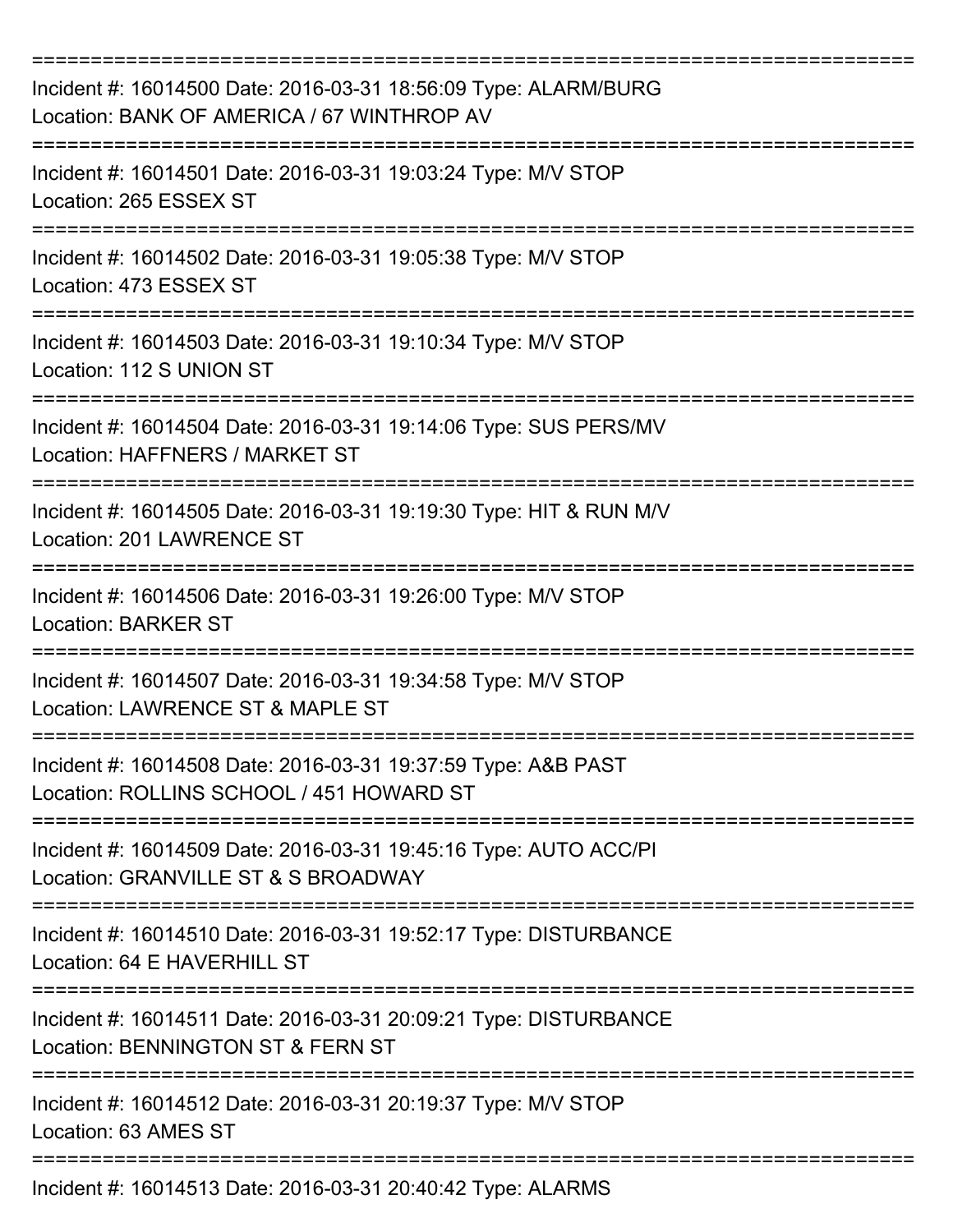| Incident #: 16014500 Date: 2016-03-31 18:56:09 Type: ALARM/BURG<br>Location: BANK OF AMERICA / 67 WINTHROP AV          |
|------------------------------------------------------------------------------------------------------------------------|
| Incident #: 16014501 Date: 2016-03-31 19:03:24 Type: M/V STOP<br>Location: 265 ESSEX ST                                |
| Incident #: 16014502 Date: 2016-03-31 19:05:38 Type: M/V STOP<br>Location: 473 ESSEX ST                                |
| Incident #: 16014503 Date: 2016-03-31 19:10:34 Type: M/V STOP<br>Location: 112 S UNION ST                              |
| Incident #: 16014504 Date: 2016-03-31 19:14:06 Type: SUS PERS/MV<br>Location: HAFFNERS / MARKET ST<br>---------------- |
| Incident #: 16014505 Date: 2016-03-31 19:19:30 Type: HIT & RUN M/V<br>Location: 201 LAWRENCE ST                        |
| Incident #: 16014506 Date: 2016-03-31 19:26:00 Type: M/V STOP<br><b>Location: BARKER ST</b>                            |
| Incident #: 16014507 Date: 2016-03-31 19:34:58 Type: M/V STOP<br>Location: LAWRENCE ST & MAPLE ST                      |
| Incident #: 16014508 Date: 2016-03-31 19:37:59 Type: A&B PAST<br>Location: ROLLINS SCHOOL / 451 HOWARD ST              |
| Incident #: 16014509 Date: 2016-03-31 19:45:16 Type: AUTO ACC/PI<br>Location: GRANVILLE ST & S BROADWAY                |
| Incident #: 16014510 Date: 2016-03-31 19:52:17 Type: DISTURBANCE<br>Location: 64 E HAVERHILL ST                        |
| Incident #: 16014511 Date: 2016-03-31 20:09:21 Type: DISTURBANCE<br>Location: BENNINGTON ST & FERN ST                  |
| Incident #: 16014512 Date: 2016-03-31 20:19:37 Type: M/V STOP<br>Location: 63 AMES ST                                  |
| Incident #: 16014513 Date: 2016-03-31 20:40:42 Type: ALARMS                                                            |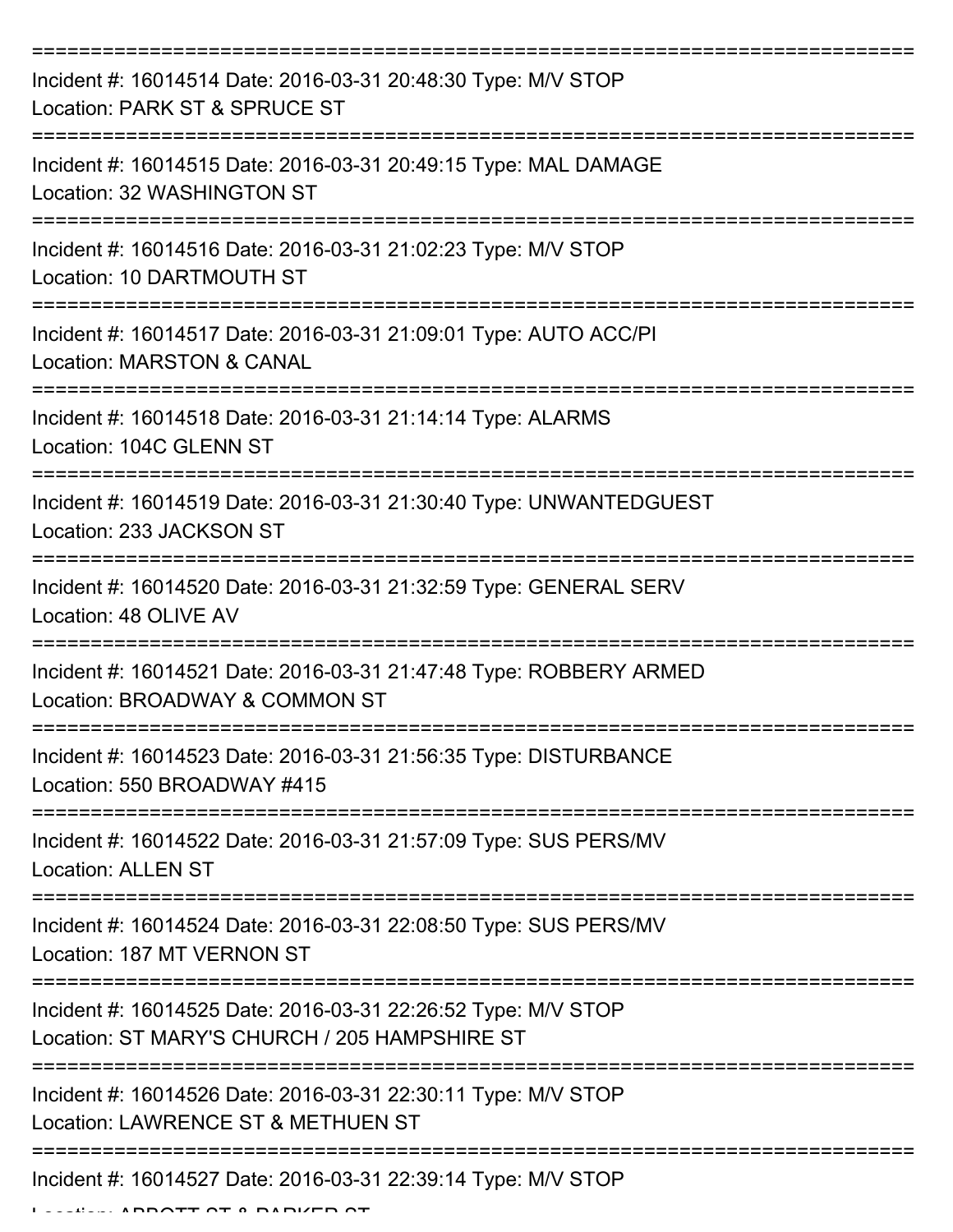| Incident #: 16014514 Date: 2016-03-31 20:48:30 Type: M/V STOP<br>Location: PARK ST & SPRUCE ST                                  |
|---------------------------------------------------------------------------------------------------------------------------------|
| Incident #: 16014515 Date: 2016-03-31 20:49:15 Type: MAL DAMAGE<br>Location: 32 WASHINGTON ST                                   |
| Incident #: 16014516 Date: 2016-03-31 21:02:23 Type: M/V STOP<br>Location: 10 DARTMOUTH ST                                      |
| Incident #: 16014517 Date: 2016-03-31 21:09:01 Type: AUTO ACC/PI<br><b>Location: MARSTON &amp; CANAL</b>                        |
| Incident #: 16014518 Date: 2016-03-31 21:14:14 Type: ALARMS<br>Location: 104C GLENN ST                                          |
| Incident #: 16014519 Date: 2016-03-31 21:30:40 Type: UNWANTEDGUEST<br>Location: 233 JACKSON ST                                  |
| Incident #: 16014520 Date: 2016-03-31 21:32:59 Type: GENERAL SERV<br>Location: 48 OLIVE AV                                      |
| =======================<br>Incident #: 16014521 Date: 2016-03-31 21:47:48 Type: ROBBERY ARMED<br>Location: BROADWAY & COMMON ST |
| Incident #: 16014523 Date: 2016-03-31 21:56:35 Type: DISTURBANCE<br>Location: 550 BROADWAY #415                                 |
| Incident #: 16014522 Date: 2016-03-31 21:57:09 Type: SUS PERS/MV<br><b>Location: ALLEN ST</b>                                   |
| Incident #: 16014524 Date: 2016-03-31 22:08:50 Type: SUS PERS/MV<br>Location: 187 MT VERNON ST                                  |
| Incident #: 16014525 Date: 2016-03-31 22:26:52 Type: M/V STOP<br>Location: ST MARY'S CHURCH / 205 HAMPSHIRE ST                  |
| Incident #: 16014526 Date: 2016-03-31 22:30:11 Type: M/V STOP<br>Location: LAWRENCE ST & METHUEN ST                             |
| Incident #: 16014527 Date: 2016-03-31 22:39:14 Type: M/V STOP                                                                   |